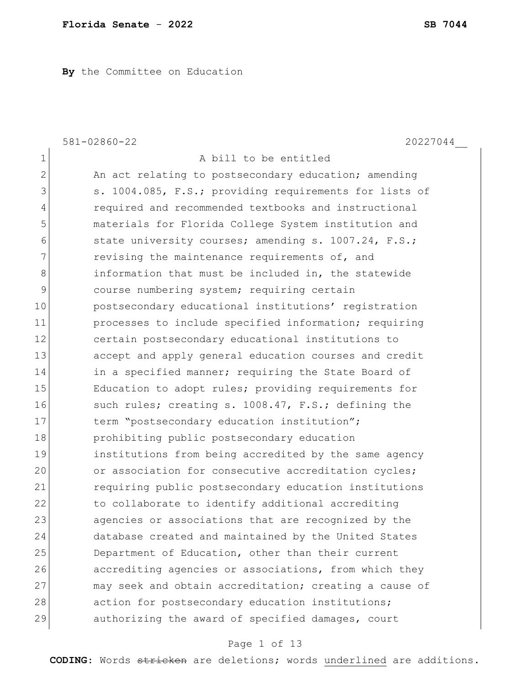**By** the Committee on Education

|                | $581 - 02860 - 22$<br>20227044                         |
|----------------|--------------------------------------------------------|
| 1              | A bill to be entitled                                  |
| $\overline{2}$ | An act relating to postsecondary education; amending   |
| 3              | s. 1004.085, F.S.; providing requirements for lists of |
| 4              | required and recommended textbooks and instructional   |
| 5              | materials for Florida College System institution and   |
| 6              | state university courses; amending s. 1007.24, F.S.;   |
| 7              | revising the maintenance requirements of, and          |
| 8              | information that must be included in, the statewide    |
| 9              | course numbering system; requiring certain             |
| 10             | postsecondary educational institutions' registration   |
| 11             | processes to include specified information; requiring  |
| 12             | certain postsecondary educational institutions to      |
| 13             | accept and apply general education courses and credit  |
| 14             | in a specified manner; requiring the State Board of    |
| 15             | Education to adopt rules; providing requirements for   |
| 16             | such rules; creating s. 1008.47, F.S.; defining the    |
| 17             | term "postsecondary education institution";            |
| 18             | prohibiting public postsecondary education             |
| 19             | institutions from being accredited by the same agency  |
| 20             | or association for consecutive accreditation cycles;   |
| 21             | requiring public postsecondary education institutions  |
| 22             | to collaborate to identify additional accrediting      |
| 23             | agencies or associations that are recognized by the    |
| 24             | database created and maintained by the United States   |
| 25             | Department of Education, other than their current      |
| 26             | accrediting agencies or associations, from which they  |
| 27             | may seek and obtain accreditation; creating a cause of |
| 28             | action for postsecondary education institutions;       |
| 29             | authorizing the award of specified damages, court      |

# Page 1 of 13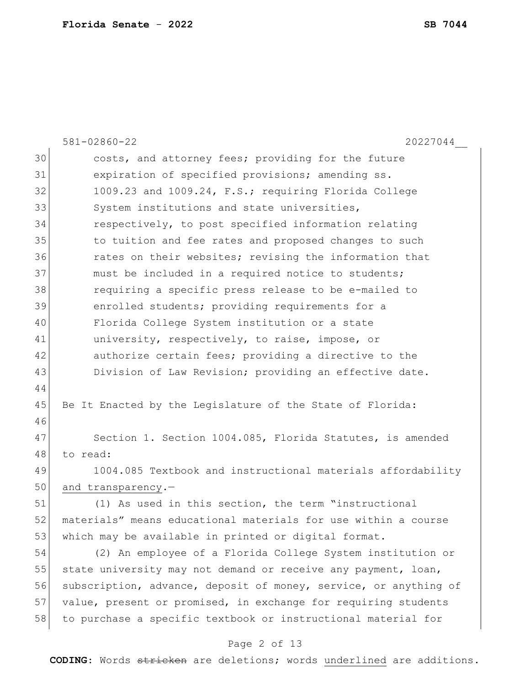|    | 581-02860-22<br>20227044                                         |
|----|------------------------------------------------------------------|
| 30 | costs, and attorney fees; providing for the future               |
| 31 | expiration of specified provisions; amending ss.                 |
| 32 | 1009.23 and 1009.24, F.S.; requiring Florida College             |
| 33 | System institutions and state universities,                      |
| 34 | respectively, to post specified information relating             |
| 35 | to tuition and fee rates and proposed changes to such            |
| 36 | rates on their websites; revising the information that           |
| 37 | must be included in a required notice to students;               |
| 38 | requiring a specific press release to be e-mailed to             |
| 39 | enrolled students; providing requirements for a                  |
| 40 | Florida College System institution or a state                    |
| 41 | university, respectively, to raise, impose, or                   |
| 42 | authorize certain fees; providing a directive to the             |
| 43 | Division of Law Revision; providing an effective date.           |
| 44 |                                                                  |
| 45 | Be It Enacted by the Legislature of the State of Florida:        |
| 46 |                                                                  |
| 47 | Section 1. Section 1004.085, Florida Statutes, is amended        |
| 48 | to read:                                                         |
| 49 | 1004.085 Textbook and instructional materials affordability      |
| 50 | and transparency.-                                               |
| 51 | (1) As used in this section, the term "instructional             |
| 52 | materials" means educational materials for use within a course   |
| 53 | which may be available in printed or digital format.             |
| 54 | (2) An employee of a Florida College System institution or       |
| 55 | state university may not demand or receive any payment, loan,    |
| 56 | subscription, advance, deposit of money, service, or anything of |
| 57 | value, present or promised, in exchange for requiring students   |
| 58 | to purchase a specific textbook or instructional material for    |
|    | Page 2 of 13                                                     |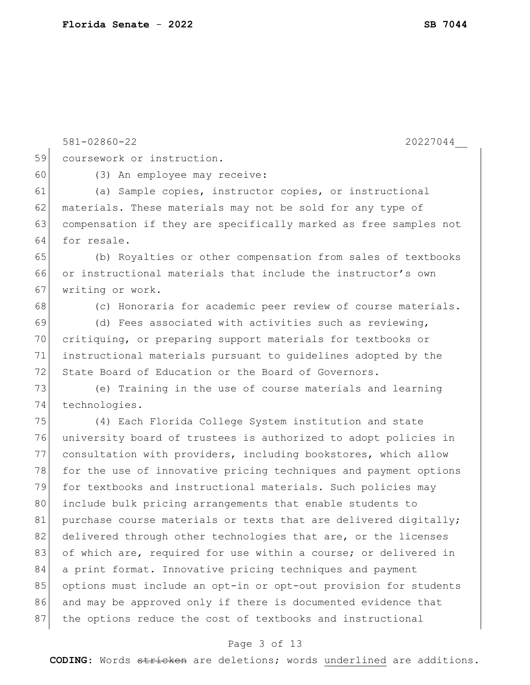581-02860-22 20227044\_\_ 59 coursework or instruction. 60 (3) An employee may receive: 61 (a) Sample copies, instructor copies, or instructional 62 materials. These materials may not be sold for any type of 63 compensation if they are specifically marked as free samples not 64 for resale. 65 (b) Royalties or other compensation from sales of textbooks 66 or instructional materials that include the instructor's own 67 writing or work. 68 (c) Honoraria for academic peer review of course materials. 69 (d) Fees associated with activities such as reviewing, 70 critiquing, or preparing support materials for textbooks or 71 instructional materials pursuant to guidelines adopted by the 72 State Board of Education or the Board of Governors. 73 (e) Training in the use of course materials and learning 74 technologies. 75 (4) Each Florida College System institution and state 76 university board of trustees is authorized to adopt policies in 77 consultation with providers, including bookstores, which allow 78 for the use of innovative pricing techniques and payment options 79 for textbooks and instructional materials. Such policies may 80 include bulk pricing arrangements that enable students to 81 purchase course materials or texts that are delivered digitally; 82 delivered through other technologies that are, or the licenses 83 of which are, required for use within a course; or delivered in 84 a print format. Innovative pricing techniques and payment 85 options must include an opt-in or opt-out provision for students 86 and may be approved only if there is documented evidence that 87 the options reduce the cost of textbooks and instructional

#### Page 3 of 13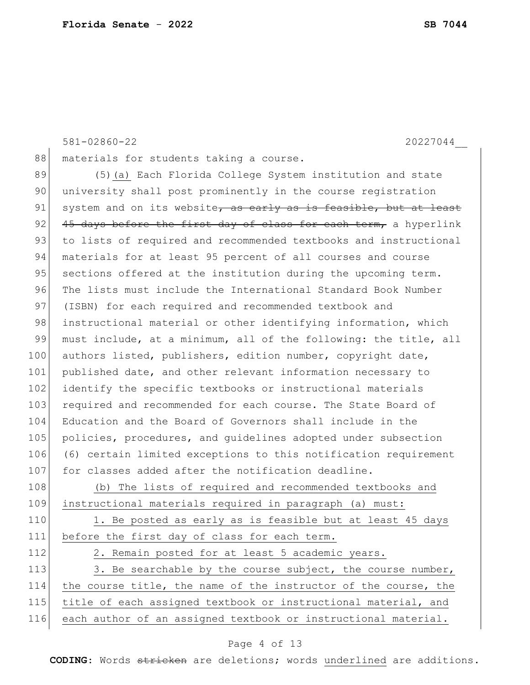581-02860-22 20227044\_\_ 88 materials for students taking a course. 89 (5) (a) Each Florida College System institution and state 90 university shall post prominently in the course registration  $91$  system and on its website, as early as is feasible, but at least 92 45 days before the first day of class for each term, a hyperlink 93 to lists of required and recommended textbooks and instructional 94 materials for at least 95 percent of all courses and course 95 sections offered at the institution during the upcoming term. 96 The lists must include the International Standard Book Number 97 (ISBN) for each required and recommended textbook and 98 instructional material or other identifying information, which 99 must include, at a minimum, all of the following: the title, all 100 authors listed, publishers, edition number, copyright date, 101 published date, and other relevant information necessary to 102 identify the specific textbooks or instructional materials 103 required and recommended for each course. The State Board of 104 Education and the Board of Governors shall include in the 105 policies, procedures, and guidelines adopted under subsection 106 (6) certain limited exceptions to this notification requirement 107 for classes added after the notification deadline. 108 (b) The lists of required and recommended textbooks and 109 instructional materials required in paragraph (a) must: 110 1. Be posted as early as is feasible but at least 45 days 111 before the first day of class for each term. 112 2. Remain posted for at least 5 academic years. 113 3. Be searchable by the course subject, the course number, 114 the course title, the name of the instructor of the course, the 115 title of each assigned textbook or instructional material, and

#### 116 each author of an assigned textbook or instructional material.

#### Page 4 of 13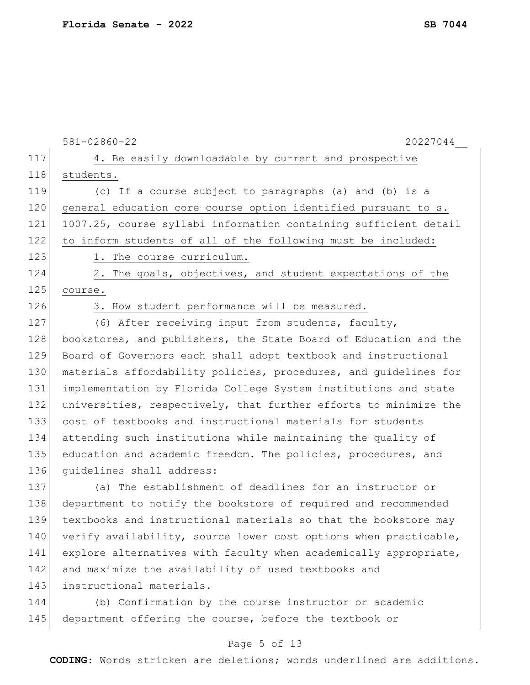|     | 20227044<br>$581 - 02860 - 22$                                   |
|-----|------------------------------------------------------------------|
| 117 | 4. Be easily downloadable by current and prospective             |
| 118 | students.                                                        |
| 119 | (c) If a course subject to paragraphs (a) and (b) is a           |
| 120 | general education core course option identified pursuant to s.   |
| 121 | 1007.25, course syllabi information containing sufficient detail |
| 122 | to inform students of all of the following must be included:     |
| 123 | 1. The course curriculum.                                        |
| 124 | 2. The goals, objectives, and student expectations of the        |
| 125 | course.                                                          |
| 126 | 3. How student performance will be measured.                     |
| 127 | (6) After receiving input from students, faculty,                |
| 128 | bookstores, and publishers, the State Board of Education and the |
| 129 | Board of Governors each shall adopt textbook and instructional   |
| 130 | materials affordability policies, procedures, and quidelines for |
| 131 | implementation by Florida College System institutions and state  |
| 132 | universities, respectively, that further efforts to minimize the |
| 133 | cost of textbooks and instructional materials for students       |
| 134 | attending such institutions while maintaining the quality of     |
| 135 | education and academic freedom. The policies, procedures, and    |
| 136 | quidelines shall address:                                        |
| 137 | (a) The establishment of deadlines for an instructor or          |
| 138 | department to notify the bookstore of required and recommended   |
| 139 | textbooks and instructional materials so that the bookstore may  |
| 140 | verify availability, source lower cost options when practicable, |
| 141 | explore alternatives with faculty when academically appropriate, |
| 142 | and maximize the availability of used textbooks and              |
| 143 | instructional materials.                                         |
| 144 | (b) Confirmation by the course instructor or academic            |
| 145 | department offering the course, before the textbook or           |
|     | Page 5 of 13                                                     |
|     |                                                                  |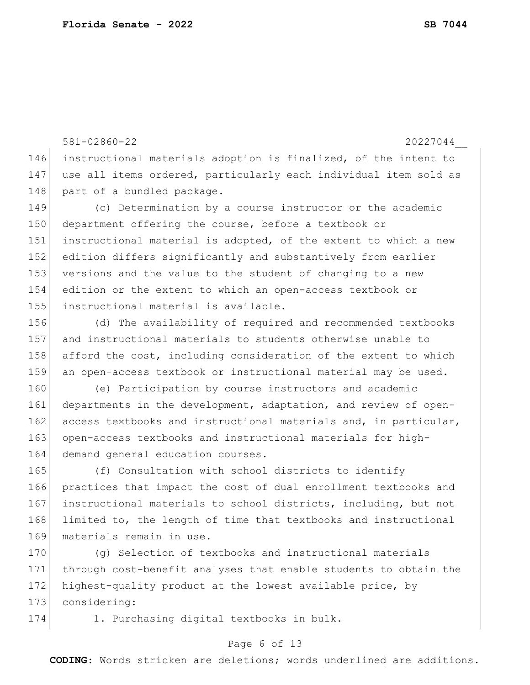581-02860-22 20227044\_\_ 146 instructional materials adoption is finalized, of the intent to 147 use all items ordered, particularly each individual item sold as 148 part of a bundled package. 149 (c) Determination by a course instructor or the academic 150 department offering the course, before a textbook or 151 instructional material is adopted, of the extent to which a new 152 edition differs significantly and substantively from earlier 153 versions and the value to the student of changing to a new 154 edition or the extent to which an open-access textbook or 155 instructional material is available.

 (d) The availability of required and recommended textbooks and instructional materials to students otherwise unable to afford the cost, including consideration of the extent to which 159 an open-access textbook or instructional material may be used.

160 (e) Participation by course instructors and academic 161 departments in the development, adaptation, and review of open-162 access textbooks and instructional materials and, in particular, 163 open-access textbooks and instructional materials for high-164 demand general education courses.

165 (f) Consultation with school districts to identify 166 practices that impact the cost of dual enrollment textbooks and 167 instructional materials to school districts, including, but not 168 limited to, the length of time that textbooks and instructional 169 materials remain in use.

170 (g) Selection of textbooks and instructional materials 171 through cost-benefit analyses that enable students to obtain the 172 highest-quality product at the lowest available price, by 173 considering:

174 1. Purchasing digital textbooks in bulk.

#### Page 6 of 13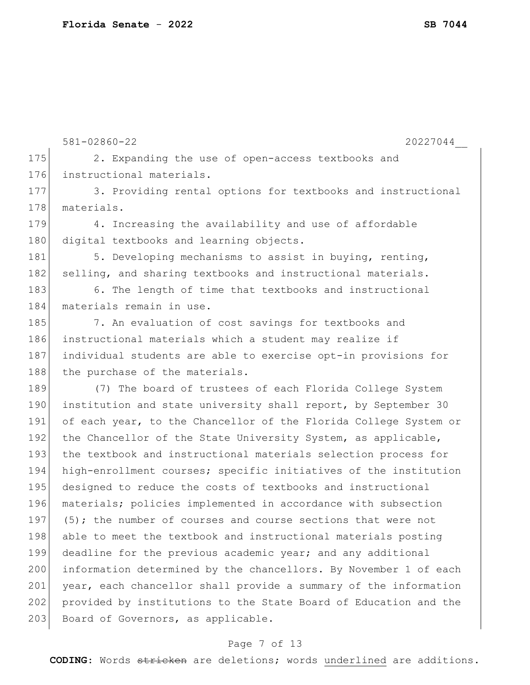|     | $581 - 02860 - 22$<br>20227044                                   |
|-----|------------------------------------------------------------------|
| 175 | 2. Expanding the use of open-access textbooks and                |
| 176 | instructional materials.                                         |
| 177 | 3. Providing rental options for textbooks and instructional      |
| 178 | materials.                                                       |
| 179 | 4. Increasing the availability and use of affordable             |
| 180 | digital textbooks and learning objects.                          |
| 181 | 5. Developing mechanisms to assist in buying, renting,           |
| 182 | selling, and sharing textbooks and instructional materials.      |
| 183 | 6. The length of time that textbooks and instructional           |
| 184 | materials remain in use.                                         |
| 185 | 7. An evaluation of cost savings for textbooks and               |
| 186 | instructional materials which a student may realize if           |
| 187 | individual students are able to exercise opt-in provisions for   |
| 188 | the purchase of the materials.                                   |
| 189 | (7) The board of trustees of each Florida College System         |
| 190 | institution and state university shall report, by September 30   |
| 191 | of each year, to the Chancellor of the Florida College System or |
| 192 | the Chancellor of the State University System, as applicable,    |
| 193 | the textbook and instructional materials selection process for   |
| 194 | high-enrollment courses; specific initiatives of the institution |
| 195 | designed to reduce the costs of textbooks and instructional      |
| 196 | materials; policies implemented in accordance with subsection    |
| 197 | (5); the number of courses and course sections that were not     |
| 198 | able to meet the textbook and instructional materials posting    |
| 199 | deadline for the previous academic year; and any additional      |
| 200 | information determined by the chancellors. By November 1 of each |
| 201 | year, each chancellor shall provide a summary of the information |
| 202 | provided by institutions to the State Board of Education and the |
| 203 | Board of Governors, as applicable.                               |
|     |                                                                  |

# Page 7 of 13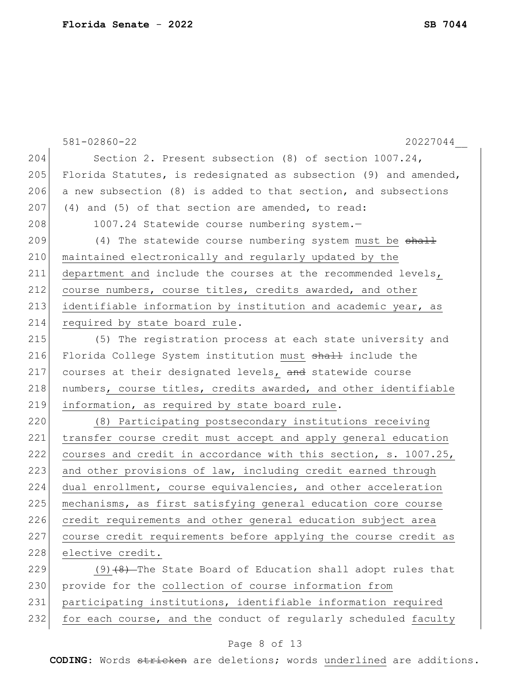|     | 581-02860-22<br>20227044                                         |
|-----|------------------------------------------------------------------|
| 204 | Section 2. Present subsection (8) of section 1007.24,            |
| 205 | Florida Statutes, is redesignated as subsection (9) and amended, |
| 206 | a new subsection (8) is added to that section, and subsections   |
| 207 | (4) and (5) of that section are amended, to read:                |
| 208 | 1007.24 Statewide course numbering system.-                      |
| 209 | (4) The statewide course numbering system must be shall          |
| 210 | maintained electronically and regularly updated by the           |
| 211 | department and include the courses at the recommended levels,    |
| 212 | course numbers, course titles, credits awarded, and other        |
| 213 | identifiable information by institution and academic year, as    |
| 214 | required by state board rule.                                    |
| 215 | (5) The registration process at each state university and        |
| 216 | Florida College System institution must shall include the        |
| 217 | courses at their designated levels, and statewide course         |
| 218 | numbers, course titles, credits awarded, and other identifiable  |
| 219 | information, as required by state board rule.                    |
| 220 | (8) Participating postsecondary institutions receiving           |
| 221 | transfer course credit must accept and apply general education   |
| 222 | courses and credit in accordance with this section, s. 1007.25,  |
| 223 | and other provisions of law, including credit earned through     |
| 224 | dual enrollment, course equivalencies, and other acceleration    |
| 225 | mechanisms, as first satisfying general education core course    |
| 226 | credit requirements and other general education subject area     |
| 227 | course credit requirements before applying the course credit as  |
| 228 | elective credit.                                                 |
| 229 | $(9)$ $(8)$ -The State Board of Education shall adopt rules that |
| 230 | provide for the collection of course information from            |
| 231 | participating institutions, identifiable information required    |
| 232 | for each course, and the conduct of regularly scheduled faculty  |

# Page 8 of 13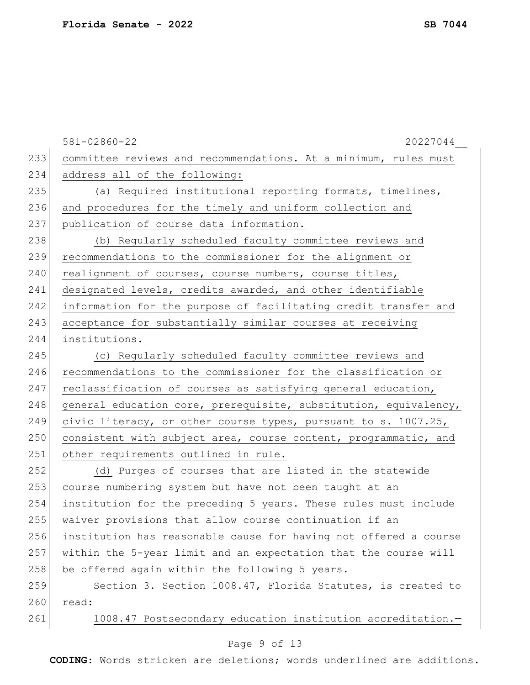|     | 581-02860-22<br>20227044                                         |
|-----|------------------------------------------------------------------|
| 233 | committee reviews and recommendations. At a minimum, rules must  |
| 234 | address all of the following:                                    |
| 235 | (a) Required institutional reporting formats, timelines,         |
| 236 | and procedures for the timely and uniform collection and         |
| 237 | publication of course data information.                          |
| 238 | (b) Regularly scheduled faculty committee reviews and            |
| 239 | recommendations to the commissioner for the alignment or         |
| 240 | realignment of courses, course numbers, course titles,           |
| 241 | designated levels, credits awarded, and other identifiable       |
| 242 | information for the purpose of facilitating credit transfer and  |
| 243 | acceptance for substantially similar courses at receiving        |
| 244 | institutions.                                                    |
| 245 | (c) Regularly scheduled faculty committee reviews and            |
| 246 | recommendations to the commissioner for the classification or    |
| 247 | reclassification of courses as satisfying general education,     |
| 248 | general education core, prerequisite, substitution, equivalency, |
| 249 | civic literacy, or other course types, pursuant to s. 1007.25,   |
| 250 | consistent with subject area, course content, programmatic, and  |
| 251 | other requirements outlined in rule.                             |
| 252 | (d) Purges of courses that are listed in the statewide           |
| 253 | course numbering system but have not been taught at an           |
| 254 | institution for the preceding 5 years. These rules must include  |
| 255 | waiver provisions that allow course continuation if an           |
| 256 | institution has reasonable cause for having not offered a course |
| 257 | within the 5-year limit and an expectation that the course will  |
| 258 | be offered again within the following 5 years.                   |
| 259 | Section 3. Section 1008.47, Florida Statutes, is created to      |
| 260 | read:                                                            |
| 261 | 1008.47 Postsecondary education institution accreditation.-      |

# Page 9 of 13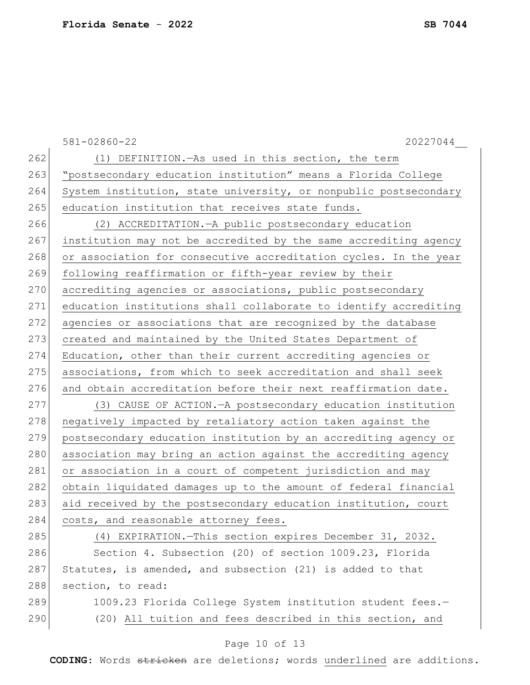|     | $581 - 02860 - 22$<br>20227044                                   |
|-----|------------------------------------------------------------------|
| 262 | (1) DEFINITION. - As used in this section, the term              |
| 263 | "postsecondary education institution" means a Florida College    |
| 264 | System institution, state university, or nonpublic postsecondary |
| 265 | education institution that receives state funds.                 |
| 266 | (2) ACCREDITATION. - A public postsecondary education            |
| 267 | institution may not be accredited by the same accrediting agency |
| 268 | or association for consecutive accreditation cycles. In the year |
| 269 | following reaffirmation or fifth-year review by their            |
| 270 | accrediting agencies or associations, public postsecondary       |
| 271 | education institutions shall collaborate to identify accrediting |
| 272 | agencies or associations that are recognized by the database     |
| 273 | created and maintained by the United States Department of        |
| 274 | Education, other than their current accrediting agencies or      |
| 275 | associations, from which to seek accreditation and shall seek    |
| 276 | and obtain accreditation before their next reaffirmation date.   |
| 277 | (3) CAUSE OF ACTION. - A postsecondary education institution     |
| 278 | negatively impacted by retaliatory action taken against the      |
| 279 | postsecondary education institution by an accrediting agency or  |
| 280 | association may bring an action against the accrediting agency   |
| 281 | or association in a court of competent jurisdiction and may      |
| 282 | obtain liquidated damages up to the amount of federal financial  |
| 283 | aid received by the postsecondary education institution, court   |
| 284 | costs, and reasonable attorney fees.                             |
| 285 | (4) EXPIRATION. This section expires December 31, 2032.          |
| 286 | Section 4. Subsection (20) of section 1009.23, Florida           |
| 287 | Statutes, is amended, and subsection (21) is added to that       |
| 288 | section, to read:                                                |
| 289 | 1009.23 Florida College System institution student fees.-        |
| 290 | (20) All tuition and fees described in this section, and         |
|     |                                                                  |

# Page 10 of 13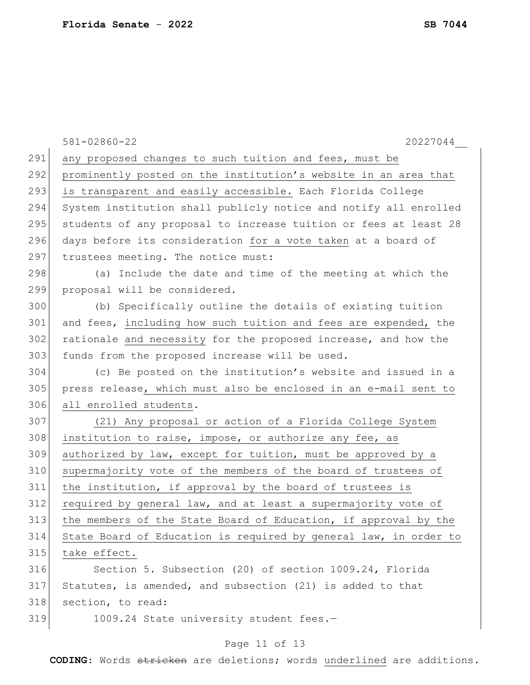|     | 20227044<br>$581 - 02860 - 22$                                   |
|-----|------------------------------------------------------------------|
| 291 | any proposed changes to such tuition and fees, must be           |
| 292 | prominently posted on the institution's website in an area that  |
| 293 | is transparent and easily accessible. Each Florida College       |
| 294 | System institution shall publicly notice and notify all enrolled |
| 295 | students of any proposal to increase tuition or fees at least 28 |
| 296 | days before its consideration for a vote taken at a board of     |
| 297 | trustees meeting. The notice must:                               |
| 298 | (a) Include the date and time of the meeting at which the        |
| 299 | proposal will be considered.                                     |
| 300 | (b) Specifically outline the details of existing tuition         |
| 301 | and fees, including how such tuition and fees are expended, the  |
| 302 | rationale and necessity for the proposed increase, and how the   |
| 303 | funds from the proposed increase will be used.                   |
| 304 | (c) Be posted on the institution's website and issued in a       |
| 305 | press release, which must also be enclosed in an e-mail sent to  |
| 306 | all enrolled students.                                           |
| 307 | (21) Any proposal or action of a Florida College System          |
| 308 | institution to raise, impose, or authorize any fee, as           |
| 309 | authorized by law, except for tuition, must be approved by a     |
| 310 | supermajority vote of the members of the board of trustees of    |
| 311 | the institution, if approval by the board of trustees is         |
| 312 | required by general law, and at least a supermajority vote of    |
| 313 | the members of the State Board of Education, if approval by the  |
| 314 | State Board of Education is required by general law, in order to |
| 315 | take effect.                                                     |
| 316 | Section 5. Subsection (20) of section 1009.24, Florida           |
| 317 | Statutes, is amended, and subsection (21) is added to that       |
| 318 | section, to read:                                                |
| 319 | 1009.24 State university student fees.-                          |
|     |                                                                  |

# Page 11 of 13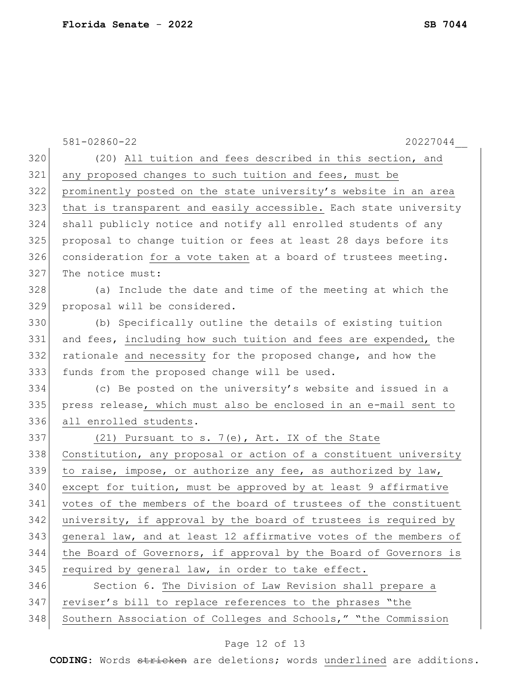|     | 581-02860-22<br>20227044                                         |
|-----|------------------------------------------------------------------|
| 320 | (20) All tuition and fees described in this section, and         |
| 321 | any proposed changes to such tuition and fees, must be           |
| 322 | prominently posted on the state university's website in an area  |
| 323 | that is transparent and easily accessible. Each state university |
| 324 | shall publicly notice and notify all enrolled students of any    |
| 325 | proposal to change tuition or fees at least 28 days before its   |
| 326 | consideration for a vote taken at a board of trustees meeting.   |
| 327 | The notice must:                                                 |
| 328 | (a) Include the date and time of the meeting at which the        |
| 329 | proposal will be considered.                                     |
| 330 | (b) Specifically outline the details of existing tuition         |
| 331 | and fees, including how such tuition and fees are expended, the  |
| 332 | rationale and necessity for the proposed change, and how the     |
| 333 | funds from the proposed change will be used.                     |
| 334 | (c) Be posted on the university's website and issued in a        |
| 335 | press release, which must also be enclosed in an e-mail sent to  |
| 336 | all enrolled students.                                           |
| 337 | (21) Pursuant to s. 7(e), Art. IX of the State                   |
| 338 | Constitution, any proposal or action of a constituent university |
| 339 | to raise, impose, or authorize any fee, as authorized by law,    |
| 340 | except for tuition, must be approved by at least 9 affirmative   |
| 341 | votes of the members of the board of trustees of the constituent |
| 342 | university, if approval by the board of trustees is required by  |
| 343 | general law, and at least 12 affirmative votes of the members of |
| 344 | the Board of Governors, if approval by the Board of Governors is |
| 345 | required by general law, in order to take effect.                |
| 346 | Section 6. The Division of Law Revision shall prepare a          |
| 347 | reviser's bill to replace references to the phrases "the         |
| 348 | Southern Association of Colleges and Schools," "the Commission   |

# Page 12 of 13